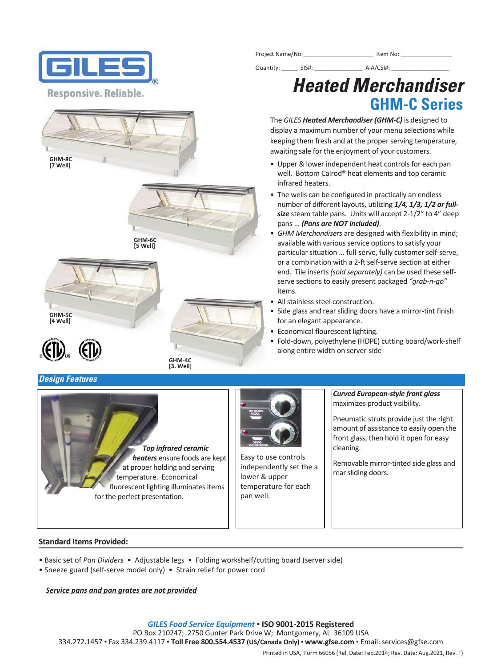





**GHM‐4C [3. Well]**





# **Design Features**





Easy to use controls independently set the a lower & upper temperature for each pan well.

*Curved European‐style front glass* maximizes product visibility.

Pneumatic struts provide just the right amount of assistance to easily open the front glass, then hold it open for easy cleaning.

Removable mirror‐tinted side glass and rear sliding doors.

#### **Standard Items Provided:**

- Basic set of *Pan Dividers* Adjustable legs Folding workshelf/cutting board (server side)
- Sneeze guard (self‐serve model only) Strain relief for power cord

*Service pans and pan grates are not provided*

*GILES Food Service Equipment* ▪ **ISO 9001‐2015 Registered** 

PO Box 210247; 2750 Gunter Park Drive W; Montgomery, AL 36109 USA

334.272.1457 ▪ Fax 334.239.4117 ▪ **Toll Free 800.554.4537 (US/Canada Only)** ▪ **www.gfse.com** ▪ Email: services@gfse.com

Printed in USA, Form 66056 (Rel. Date: Feb.2014; Rev. Date: Aug.2021, Rev. F)

Project Name/No:\_\_\_\_\_\_\_\_\_\_\_\_\_\_\_\_\_\_\_\_\_\_ Item No: \_\_\_\_\_\_\_\_\_\_\_\_\_\_\_\_

# **Heated Merchandiser GHM-C Series**

The *GILES Heated Merchandiser (GHM‐C)* is designed to display a maximum number of your menu selections while keeping them fresh and at the proper serving temperature, awaiting sale for the enjoyment of your customers.

Quantity: \_\_\_\_\_\_ SIS#: \_\_\_\_\_\_\_\_\_\_\_\_\_\_\_\_\_ AIA/CSI#: \_\_\_\_\_\_\_\_\_\_\_\_\_\_\_\_\_\_\_\_\_\_\_\_\_\_\_\_\_

- Upper & lower independent heat controls for each pan well. Bottom Calrod® heat elements and top ceramic infrared heaters.
- The wells can be configured in practically an endless number of different layouts, utilizing *1/4, 1/3, 1/2 or full‐ size* steam table pans. Units will accept 2‐1/2" to 4" deep pans ... *(Pans are NOT included)*.
- *GHM Merchandisers* are designed with flexibility in mind; available with various service options to satisfy your particular situation ... full‐serve, fully customer self‐serve, or a combination with a 2‐ft self‐serve section at either end. Tile inserts *(sold separately)* can be used these self‐ serve sections to easily present packaged *"grab‐n‐go"* items.
- All stainless steel construction.
- Side glass and rear sliding doors have a mirror-tint finish for an elegant appearance.
- Economical flourescent lighting.
- Fold‐down, polyethylene (HDPE) cutting board/work‐shelf along entire width on server‐side